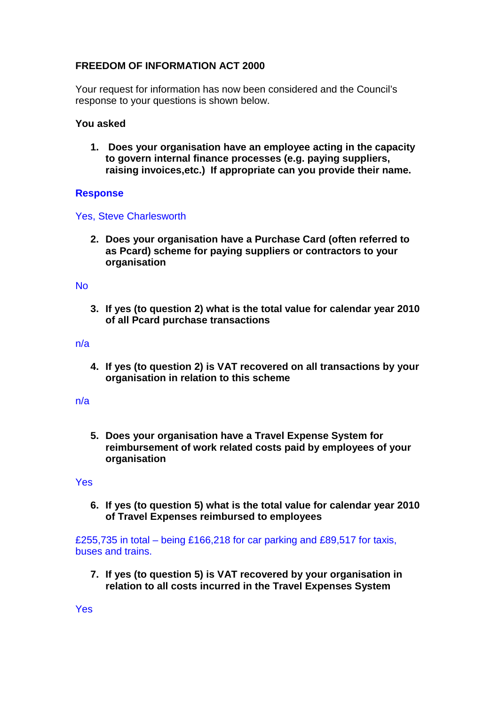# **FREEDOM OF INFORMATION ACT 2000**

Your request for information has now been considered and the Council's response to your questions is shown below.

# **You asked**

**1. Does your organisation have an employee acting in the capacity to govern internal finance processes (e.g. paying suppliers, raising invoices,etc.) If appropriate can you provide their name.**

# **Response**

## Yes, Steve Charlesworth

**2. Does your organisation have a Purchase Card (often referred to as Pcard) scheme for paying suppliers or contractors to your organisation**

#### No

**3. If yes (to question 2) what is the total value for calendar year 2010 of all Pcard purchase transactions**

## n/a

**4. If yes (to question 2) is VAT recovered on all transactions by your organisation in relation to this scheme**

## n/a

**5. Does your organisation have a Travel Expense System for reimbursement of work related costs paid by employees of your organisation**

#### Yes

**6. If yes (to question 5) what is the total value for calendar year 2010 of Travel Expenses reimbursed to employees**

£255,735 in total – being £166,218 for car parking and £89,517 for taxis, buses and trains.

**7. If yes (to question 5) is VAT recovered by your organisation in relation to all costs incurred in the Travel Expenses System** 

Yes